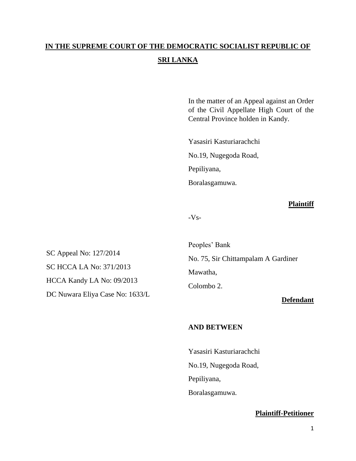# **IN THE SUPREME COURT OF THE DEMOCRATIC SOCIALIST REPUBLIC OF SRI LANKA**

In the matter of an Appeal against an Order of the Civil Appellate High Court of the Central Province holden in Kandy.

Yasasiri Kasturiarachchi No.19, Nugegoda Road, Pepiliyana, Boralasgamuwa.

## **Plaintiff**

-Vs-

SC Appeal No: 127/2014 SC HCCA LA No: 371/2013 HCCA Kandy LA No: 09/2013 DC Nuwara Eliya Case No: 1633/L

Peoples' Bank No. 75, Sir Chittampalam A Gardiner Mawatha, Colombo 2.

## **Defendant**

## **AND BETWEEN**

Yasasiri Kasturiarachchi No.19, Nugegoda Road, Pepiliyana, Boralasgamuwa.

## **Plaintiff-Petitioner**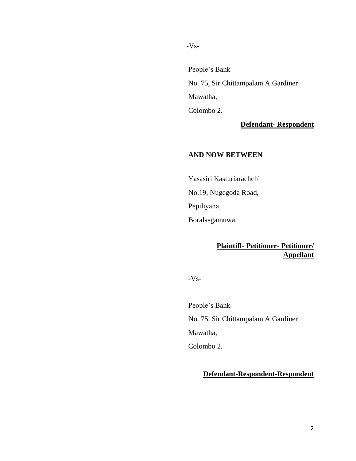-Vs-

People's Bank No. 75, Sir Chittampalam A Gardiner Mawatha, Colombo 2.

**Defendant- Respondent**

## **AND NOW BETWEEN**

Yasasiri Kasturiarachchi No.19, Nugegoda Road, Pepiliyana, Boralasgamuwa.

# **Plaintiff- Petitioner- Petitioner/ Appellant**

-Vs-

People's Bank No. 75, Sir Chittampalam A Gardiner Mawatha, Colombo 2.

# **Defendant-Respondent-Respondent**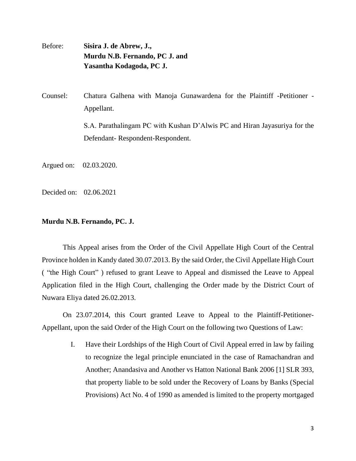Before: **Sisira J. de Abrew, J., Murdu N.B. Fernando, PC J. and Yasantha Kodagoda, PC J.** 

Counsel: Chatura Galhena with Manoja Gunawardena for the Plaintiff -Petitioner - Appellant.

> S.A. Parathalingam PC with Kushan D'Alwis PC and Hiran Jayasuriya for the Defendant- Respondent-Respondent.

Argued on: 02.03.2020.

Decided on: 02.06.2021

#### **Murdu N.B. Fernando, PC. J.**

This Appeal arises from the Order of the Civil Appellate High Court of the Central Province holden in Kandy dated 30.07.2013. By the said Order, the Civil Appellate High Court ( "the High Court" ) refused to grant Leave to Appeal and dismissed the Leave to Appeal Application filed in the High Court, challenging the Order made by the District Court of Nuwara Eliya dated 26.02.2013.

On 23.07.2014, this Court granted Leave to Appeal to the Plaintiff-Petitioner-Appellant, upon the said Order of the High Court on the following two Questions of Law:

> I. Have their Lordships of the High Court of Civil Appeal erred in law by failing to recognize the legal principle enunciated in the case of Ramachandran and Another; Anandasiva and Another vs Hatton National Bank 2006 [1] SLR 393, that property liable to be sold under the Recovery of Loans by Banks (Special Provisions) Act No. 4 of 1990 as amended is limited to the property mortgaged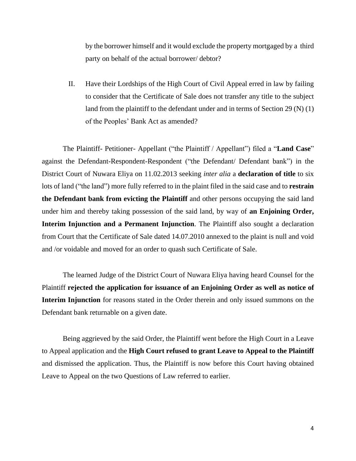by the borrower himself and it would exclude the property mortgaged by a third party on behalf of the actual borrower/ debtor?

II. Have their Lordships of the High Court of Civil Appeal erred in law by failing to consider that the Certificate of Sale does not transfer any title to the subject land from the plaintiff to the defendant under and in terms of Section 29 (N) (1) of the Peoples' Bank Act as amended?

The Plaintiff- Petitioner- Appellant ("the Plaintiff / Appellant") filed a "**Land Case**" against the Defendant-Respondent-Respondent ("the Defendant/ Defendant bank") in the District Court of Nuwara Eliya on 11.02.2013 seeking *inter alia* a **declaration of title** to six lots of land ("the land") more fully referred to in the plaint filed in the said case and to **restrain the Defendant bank from evicting the Plaintiff** and other persons occupying the said land under him and thereby taking possession of the said land, by way of **an Enjoining Order, Interim Injunction and a Permanent Injunction**. The Plaintiff also sought a declaration from Court that the Certificate of Sale dated 14.07.2010 annexed to the plaint is null and void and /or voidable and moved for an order to quash such Certificate of Sale.

The learned Judge of the District Court of Nuwara Eliya having heard Counsel for the Plaintiff **rejected the application for issuance of an Enjoining Order as well as notice of Interim Injunction** for reasons stated in the Order therein and only issued summons on the Defendant bank returnable on a given date.

Being aggrieved by the said Order, the Plaintiff went before the High Court in a Leave to Appeal application and the **High Court refused to grant Leave to Appeal to the Plaintiff**  and dismissed the application. Thus, the Plaintiff is now before this Court having obtained Leave to Appeal on the two Questions of Law referred to earlier.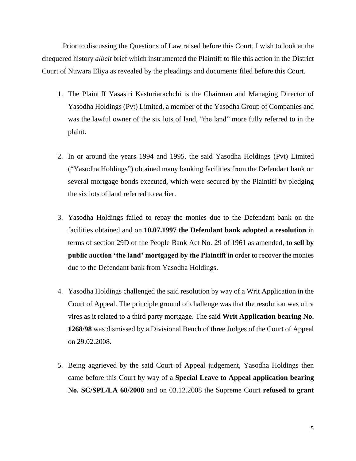Prior to discussing the Questions of Law raised before this Court, I wish to look at the chequered history *albeit* brief which instrumented the Plaintiff to file this action in the District Court of Nuwara Eliya as revealed by the pleadings and documents filed before this Court.

- 1. The Plaintiff Yasasiri Kasturiarachchi is the Chairman and Managing Director of Yasodha Holdings (Pvt) Limited, a member of the Yasodha Group of Companies and was the lawful owner of the six lots of land, "the land" more fully referred to in the plaint.
- 2. In or around the years 1994 and 1995, the said Yasodha Holdings (Pvt) Limited ("Yasodha Holdings") obtained many banking facilities from the Defendant bank on several mortgage bonds executed, which were secured by the Plaintiff by pledging the six lots of land referred to earlier.
- 3. Yasodha Holdings failed to repay the monies due to the Defendant bank on the facilities obtained and on **10.07.1997 the Defendant bank adopted a resolution** in terms of section 29D of the People Bank Act No. 29 of 1961 as amended, **to sell by public auction 'the land' mortgaged by the Plaintiff** in order to recover the monies due to the Defendant bank from Yasodha Holdings.
- 4. Yasodha Holdings challenged the said resolution by way of a Writ Application in the Court of Appeal. The principle ground of challenge was that the resolution was ultra vires as it related to a third party mortgage. The said **Writ Application bearing No. 1268/98** was dismissed by a Divisional Bench of three Judges of the Court of Appeal on 29.02.2008.
- 5. Being aggrieved by the said Court of Appeal judgement, Yasodha Holdings then came before this Court by way of a **Special Leave to Appeal application bearing No. SC/SPL/LA 60/2008** and on 03.12.2008 the Supreme Court **refused to grant**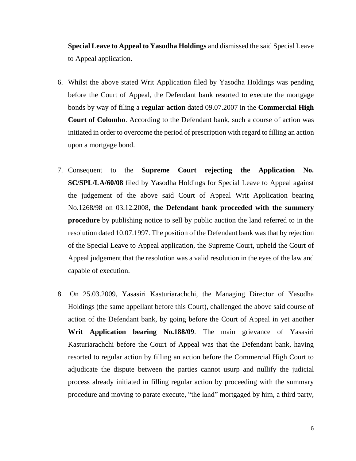**Special Leave to Appeal to Yasodha Holdings** and dismissed the said Special Leave to Appeal application.

- 6. Whilst the above stated Writ Application filed by Yasodha Holdings was pending before the Court of Appeal, the Defendant bank resorted to execute the mortgage bonds by way of filing a **regular action** dated 09.07.2007 in the **Commercial High Court of Colombo**. According to the Defendant bank, such a course of action was initiated in order to overcome the period of prescription with regard to filling an action upon a mortgage bond.
- 7. Consequent to the **Supreme Court rejecting the Application No. SC/SPL/LA/60/08** filed by Yasodha Holdings for Special Leave to Appeal against the judgement of the above said Court of Appeal Writ Application bearing No.1268/98 on 03.12.2008, **the Defendant bank proceeded with the summery procedure** by publishing notice to sell by public auction the land referred to in the resolution dated 10.07.1997. The position of the Defendant bank was that by rejection of the Special Leave to Appeal application, the Supreme Court, upheld the Court of Appeal judgement that the resolution was a valid resolution in the eyes of the law and capable of execution.
- 8. On 25.03.2009, Yasasiri Kasturiarachchi, the Managing Director of Yasodha Holdings (the same appellant before this Court), challenged the above said course of action of the Defendant bank, by going before the Court of Appeal in yet another **Writ Application bearing No.188/09**. The main grievance of Yasasiri Kasturiarachchi before the Court of Appeal was that the Defendant bank, having resorted to regular action by filling an action before the Commercial High Court to adjudicate the dispute between the parties cannot usurp and nullify the judicial process already initiated in filling regular action by proceeding with the summary procedure and moving to parate execute, "the land" mortgaged by him, a third party,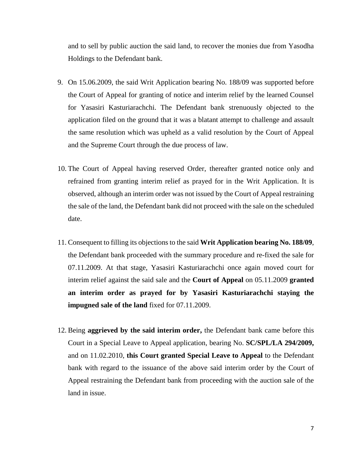and to sell by public auction the said land, to recover the monies due from Yasodha Holdings to the Defendant bank.

- 9. On 15.06.2009, the said Writ Application bearing No. 188/09 was supported before the Court of Appeal for granting of notice and interim relief by the learned Counsel for Yasasiri Kasturiarachchi. The Defendant bank strenuously objected to the application filed on the ground that it was a blatant attempt to challenge and assault the same resolution which was upheld as a valid resolution by the Court of Appeal and the Supreme Court through the due process of law.
- 10. The Court of Appeal having reserved Order, thereafter granted notice only and refrained from granting interim relief as prayed for in the Writ Application. It is observed, although an interim order was not issued by the Court of Appeal restraining the sale of the land, the Defendant bank did not proceed with the sale on the scheduled date.
- 11. Consequent to filling its objections to the said **Writ Application bearing No. 188/09**, the Defendant bank proceeded with the summary procedure and re-fixed the sale for 07.11.2009. At that stage, Yasasiri Kasturiarachchi once again moved court for interim relief against the said sale and the **Court of Appeal** on 05.11.2009 **granted an interim order as prayed for by Yasasiri Kasturiarachchi staying the impugned sale of the land** fixed for 07.11.2009.
- 12. Being **aggrieved by the said interim order,** the Defendant bank came before this Court in a Special Leave to Appeal application, bearing No. **SC/SPL/LA 294/2009,** and on 11.02.2010, **this Court granted Special Leave to Appeal** to the Defendant bank with regard to the issuance of the above said interim order by the Court of Appeal restraining the Defendant bank from proceeding with the auction sale of the land in issue.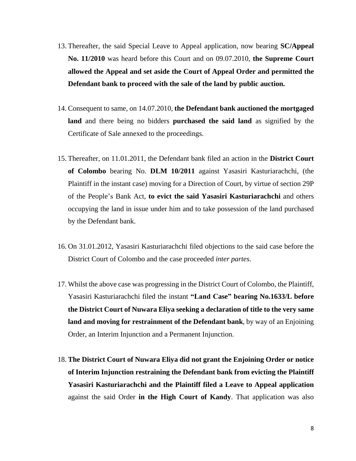- 13. Thereafter, the said Special Leave to Appeal application, now bearing **SC/Appeal No. 11/2010** was heard before this Court and on 09.07.2010, **the Supreme Court allowed the Appeal and set aside the Court of Appeal Order and permitted the Defendant bank to proceed with the sale of the land by public auction.**
- 14. Consequent to same, on 14.07.2010, **the Defendant bank auctioned the mortgaged land** and there being no bidders **purchased the said land** as signified by the Certificate of Sale annexed to the proceedings.
- 15. Thereafter, on 11.01.2011, the Defendant bank filed an action in the **District Court of Colombo** bearing No. **DLM 10/2011** against Yasasiri Kasturiarachchi, (the Plaintiff in the instant case) moving for a Direction of Court, by virtue of section 29P of the People's Bank Act, **to evict the said Yasasiri Kasturiarachchi** and others occupying the land in issue under him and to take possession of the land purchased by the Defendant bank.
- 16. On 31.01.2012, Yasasiri Kasturiarachchi filed objections to the said case before the District Court of Colombo and the case proceeded *inter partes*.
- 17. Whilst the above case was progressing in the District Court of Colombo, the Plaintiff, Yasasiri Kasturiarachchi filed the instant **"Land Case" bearing No.1633/L before the District Court of Nuwara Eliya seeking a declaration of title to the very same land and moving for restrainment of the Defendant bank**, by way of an Enjoining Order, an Interim Injunction and a Permanent Injunction.
- 18. **The District Court of Nuwara Eliya did not grant the Enjoining Order or notice of Interim Injunction restraining the Defendant bank from evicting the Plaintiff Yasasiri Kasturiarachchi and the Plaintiff filed a Leave to Appeal application** against the said Order **in the High Court of Kandy**. That application was also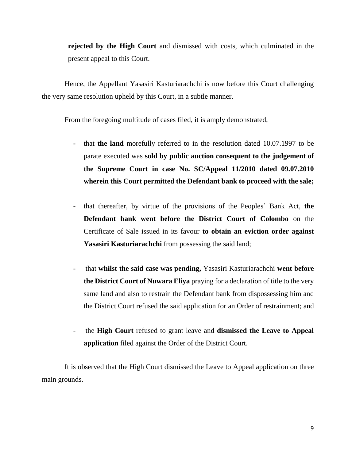**rejected by the High Court** and dismissed with costs, which culminated in the present appeal to this Court.

Hence, the Appellant Yasasiri Kasturiarachchi is now before this Court challenging the very same resolution upheld by this Court, in a subtle manner.

From the foregoing multitude of cases filed, it is amply demonstrated,

- that **the land** morefully referred to in the resolution dated 10.07.1997 to be parate executed was **sold by public auction consequent to the judgement of the Supreme Court in case No. SC/Appeal 11/2010 dated 09.07.2010 wherein this Court permitted the Defendant bank to proceed with the sale;**
- that thereafter, by virtue of the provisions of the Peoples' Bank Act, **the Defendant bank went before the District Court of Colombo** on the Certificate of Sale issued in its favour **to obtain an eviction order against Yasasiri Kasturiarachchi** from possessing the said land;
- that **whilst the said case was pending,** Yasasiri Kasturiarachchi **went before the District Court of Nuwara Eliya** praying for a declaration of title to the very same land and also to restrain the Defendant bank from dispossessing him and the District Court refused the said application for an Order of restrainment; and
- the **High Court** refused to grant leave and **dismissed the Leave to Appeal application** filed against the Order of the District Court.

It is observed that the High Court dismissed the Leave to Appeal application on three main grounds.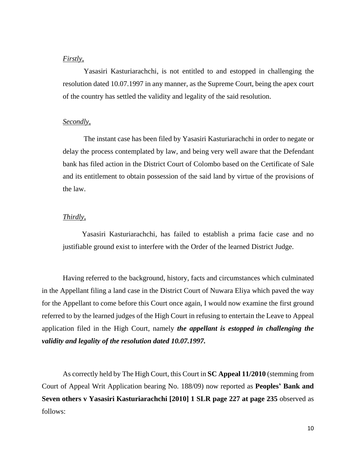#### *Firstly,*

Yasasiri Kasturiarachchi, is not entitled to and estopped in challenging the resolution dated 10.07.1997 in any manner, as the Supreme Court, being the apex court of the country has settled the validity and legality of the said resolution.

#### *Secondly,*

The instant case has been filed by Yasasiri Kasturiarachchi in order to negate or delay the process contemplated by law, and being very well aware that the Defendant bank has filed action in the District Court of Colombo based on the Certificate of Sale and its entitlement to obtain possession of the said land by virtue of the provisions of the law.

#### *Thirdly,*

Yasasiri Kasturiarachchi, has failed to establish a prima facie case and no justifiable ground exist to interfere with the Order of the learned District Judge.

Having referred to the background, history, facts and circumstances which culminated in the Appellant filing a land case in the District Court of Nuwara Eliya which paved the way for the Appellant to come before this Court once again, I would now examine the first ground referred to by the learned judges of the High Court in refusing to entertain the Leave to Appeal application filed in the High Court, namely *the appellant is estopped in challenging the validity and legality of the resolution dated 10.07.1997.*

As correctly held by The High Court, this Court in **SC Appeal 11/2010** (stemming from Court of Appeal Writ Application bearing No. 188/09) now reported as **Peoples' Bank and Seven others v Yasasiri Kasturiarachchi [2010] 1 SLR page 227 at page 235** observed as follows: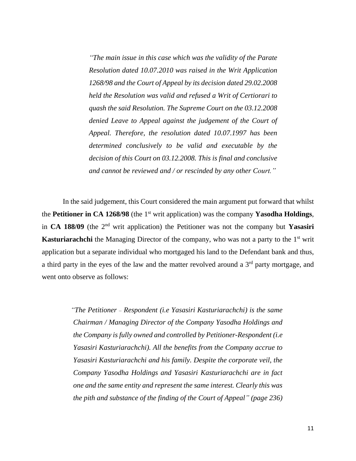*"The main issue in this case which was the validity of the Parate Resolution dated 10.07.2010 was raised in the Writ Application 1268/98 and the Court of Appeal by its decision dated 29.02.2008 held the Resolution was valid and refused a Writ of Certiorari to quash the said Resolution. The Supreme Court on the 03.12.2008 denied Leave to Appeal against the judgement of the Court of Appeal. Therefore, the resolution dated 10.07.1997 has been determined conclusively to be valid and executable by the decision of this Court on 03.12.2008. This is final and conclusive and cannot be reviewed and / or rescinded by any other Court."* 

In the said judgement, this Court considered the main argument put forward that whilst the **Petitioner in CA 1268/98** (the 1st writ application) was the company **Yasodha Holdings**, in **CA 188/09** (the 2nd writ application) the Petitioner was not the company but **Yasasiri Kasturiarachchi** the Managing Director of the company, who was not a party to the 1<sup>st</sup> writ application but a separate individual who mortgaged his land to the Defendant bank and thus, a third party in the eyes of the law and the matter revolved around a  $3<sup>rd</sup>$  party mortgage, and went onto observe as follows:

> *"The Petitioner – Respondent (i.e Yasasiri Kasturiarachchi) is the same Chairman / Managing Director of the Company Yasodha Holdings and the Company is fully owned and controlled by Petitioner-Respondent (i.e Yasasiri Kasturiarachchi). All the benefits from the Company accrue to Yasasiri Kasturiarachchi and his family. Despite the corporate veil, the Company Yasodha Holdings and Yasasiri Kasturiarachchi are in fact one and the same entity and represent the same interest. Clearly this was the pith and substance of the finding of the Court of Appeal" (page 236)*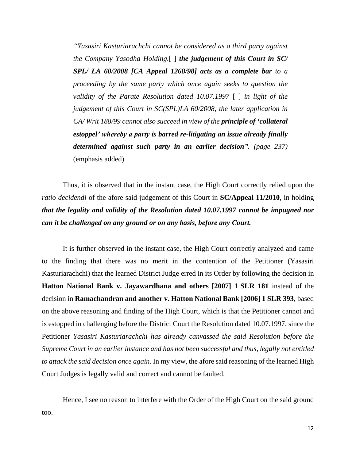*"Yasasiri Kasturiarachchi cannot be considered as a third party against the Company Yasodha Holding.*[ ] *the judgement of this Court in SC/ SPL/ LA 60/2008 [CA Appeal 1268/98] acts as a complete bar to a proceeding by the same party which once again seeks to question the validity of the Parate Resolution dated 10.07.1997* [ ] *in light of the judgement of this Court in SC(SPL)LA 60/2008, the later application in CA/ Writ 188/99 cannot also succeed in view of the principle of 'collateral estoppel' whereby a party is barred re-litigating an issue already finally determined against such party in an earlier decision". (page 237)* (emphasis added)

Thus, it is observed that in the instant case, the High Court correctly relied upon the *ratio decidendi* of the afore said judgement of this Court in **SC/Appeal 11/2010**, in holding *that the legality and validity of the Resolution dated 10.07.1997 cannot be impugned nor can it be challenged on any ground or on any basis, before any Court.* 

It is further observed in the instant case, the High Court correctly analyzed and came to the finding that there was no merit in the contention of the Petitioner (Yasasiri Kasturiarachchi) that the learned District Judge erred in its Order by following the decision in **Hatton National Bank v. Jayawardhana and others [2007] 1 SLR 181** instead of the decision in **Ramachandran and another v. Hatton National Bank [2006] 1 SLR 393**, based on the above reasoning and finding of the High Court, which is that the Petitioner cannot and is estopped in challenging before the District Court the Resolution dated 10.07.1997, since the Petitioner *Yasasiri Kasturiarachchi has already canvassed the said Resolution before the Supreme Court in an earlier instance and has not been successful and thus, legally not entitled to attack the said decision once again.* In my view, the afore said reasoning of the learned High Court Judges is legally valid and correct and cannot be faulted.

Hence, I see no reason to interfere with the Order of the High Court on the said ground too.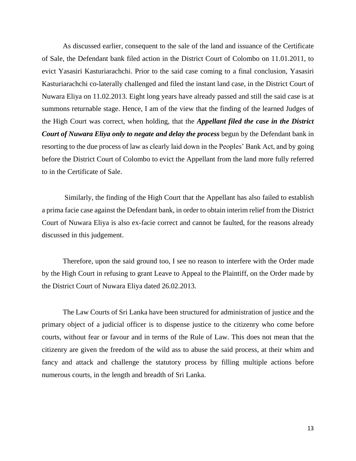As discussed earlier, consequent to the sale of the land and issuance of the Certificate of Sale, the Defendant bank filed action in the District Court of Colombo on 11.01.2011, to evict Yasasiri Kasturiarachchi. Prior to the said case coming to a final conclusion, Yasasiri Kasturiarachchi co-laterally challenged and filed the instant land case, in the District Court of Nuwara Eliya on 11.02.2013. Eight long years have already passed and still the said case is at summons returnable stage. Hence, I am of the view that the finding of the learned Judges of the High Court was correct, when holding, that the *Appellant filed the case in the District Court of Nuwara Eliya only to negate and delay the process* begun by the Defendant bank in resorting to the due process of law as clearly laid down in the Peoples' Bank Act, and by going before the District Court of Colombo to evict the Appellant from the land more fully referred to in the Certificate of Sale.

Similarly, the finding of the High Court that the Appellant has also failed to establish a prima facie case against the Defendant bank, in order to obtain interim relief from the District Court of Nuwara Eliya is also ex-facie correct and cannot be faulted, for the reasons already discussed in this judgement.

Therefore, upon the said ground too, I see no reason to interfere with the Order made by the High Court in refusing to grant Leave to Appeal to the Plaintiff, on the Order made by the District Court of Nuwara Eliya dated 26.02.2013.

The Law Courts of Sri Lanka have been structured for administration of justice and the primary object of a judicial officer is to dispense justice to the citizenry who come before courts, without fear or favour and in terms of the Rule of Law. This does not mean that the citizenry are given the freedom of the wild ass to abuse the said process, at their whim and fancy and attack and challenge the statutory process by filling multiple actions before numerous courts, in the length and breadth of Sri Lanka.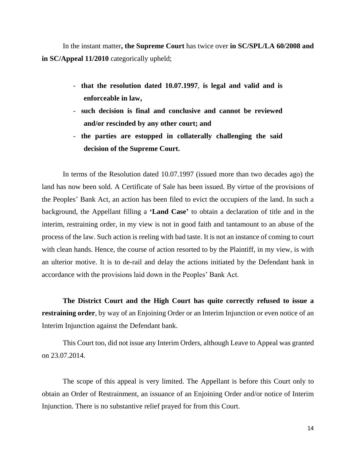In the instant matter**, the Supreme Court** has twice over **in SC/SPL/LA 60/2008 and in SC/Appeal 11/2010** categorically upheld;

- **that the resolution dated 10.07.1997**, **is legal and valid and is enforceable in law,**
- **such decision is final and conclusive and cannot be reviewed and/or rescinded by any other court; and**
- **the parties are estopped in collaterally challenging the said decision of the Supreme Court.**

In terms of the Resolution dated 10.07.1997 (issued more than two decades ago) the land has now been sold. A Certificate of Sale has been issued. By virtue of the provisions of the Peoples' Bank Act, an action has been filed to evict the occupiers of the land. In such a background, the Appellant filling a **'Land Case'** to obtain a declaration of title and in the interim, restraining order, in my view is not in good faith and tantamount to an abuse of the process of the law. Such action is reeling with bad taste. It is not an instance of coming to court with clean hands. Hence, the course of action resorted to by the Plaintiff, in my view, is with an ulterior motive. It is to de-rail and delay the actions initiated by the Defendant bank in accordance with the provisions laid down in the Peoples' Bank Act.

**The District Court and the High Court has quite correctly refused to issue a restraining order**, by way of an Enjoining Order or an Interim Injunction or even notice of an Interim Injunction against the Defendant bank.

This Court too, did not issue any Interim Orders, although Leave to Appeal was granted on 23.07.2014.

The scope of this appeal is very limited. The Appellant is before this Court only to obtain an Order of Restrainment, an issuance of an Enjoining Order and/or notice of Interim Injunction. There is no substantive relief prayed for from this Court.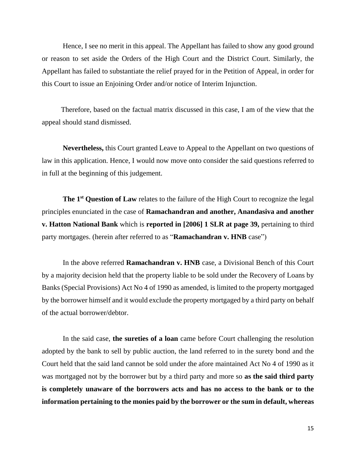Hence, I see no merit in this appeal. The Appellant has failed to show any good ground or reason to set aside the Orders of the High Court and the District Court. Similarly, the Appellant has failed to substantiate the relief prayed for in the Petition of Appeal, in order for this Court to issue an Enjoining Order and/or notice of Interim Injunction.

Therefore, based on the factual matrix discussed in this case, I am of the view that the appeal should stand dismissed.

**Nevertheless,** this Court granted Leave to Appeal to the Appellant on two questions of law in this application. Hence, I would now move onto consider the said questions referred to in full at the beginning of this judgement.

**The 1st Question of Law** relates to the failure of the High Court to recognize the legal principles enunciated in the case of **Ramachandran and another, Anandasiva and another v. Hatton National Bank** which is **reported in [2006] 1 SLR at page 39,** pertaining to third party mortgages. (herein after referred to as "**Ramachandran v. HNB** case")

In the above referred **Ramachandran v. HNB** case, a Divisional Bench of this Court by a majority decision held that the property liable to be sold under the Recovery of Loans by Banks (Special Provisions) Act No 4 of 1990 as amended, is limited to the property mortgaged by the borrower himself and it would exclude the property mortgaged by a third party on behalf of the actual borrower/debtor.

In the said case, **the sureties of a loan** came before Court challenging the resolution adopted by the bank to sell by public auction, the land referred to in the surety bond and the Court held that the said land cannot be sold under the afore maintained Act No 4 of 1990 as it was mortgaged not by the borrower but by a third party and more so **as the said third party is completely unaware of the borrowers acts and has no access to the bank or to the information pertaining to the monies paid by the borrower or the sum in default, whereas**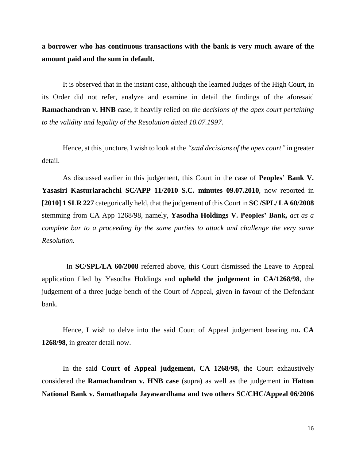**a borrower who has continuous transactions with the bank is very much aware of the amount paid and the sum in default.**

It is observed that in the instant case, although the learned Judges of the High Court, in its Order did not refer, analyze and examine in detail the findings of the aforesaid **Ramachandran v. HNB** case, it heavily relied on *the decisions of the apex court pertaining to the validity and legality of the Resolution dated 10.07.1997.*

Hence, at this juncture, I wish to look at the *"said decisions of the apex court"* in greater detail.

As discussed earlier in this judgement, this Court in the case of **Peoples' Bank V. Yasasiri Kasturiarachchi SC***/***APP 11/2010 S.C. minutes 09.07.2010**, now reported in **[2010] 1 SLR 227** categorically held, that the judgement of this Court in **SC /SPL/ LA 60/2008** stemming from CA App 1268/98, namely, **Yasodha Holdings V. Peoples' Bank,** *act as a complete bar to a proceeding by the same parties to attack and challenge the very same Resolution.*

 In **SC/SPL/LA 60/2008** referred above, this Court dismissed the Leave to Appeal application filed by Yasodha Holdings and **upheld the judgement in CA/1268/98**, the judgement of a three judge bench of the Court of Appeal, given in favour of the Defendant bank.

Hence, I wish to delve into the said Court of Appeal judgement bearing no**. CA 1268/98**, in greater detail now.

In the said **Court of Appeal judgement, CA 1268/98,** the Court exhaustively considered the **Ramachandran v. HNB case** (supra) as well as the judgement in **Hatton National Bank v. Samathapala Jayawardhana and two others SC/CHC/Appeal 06/2006**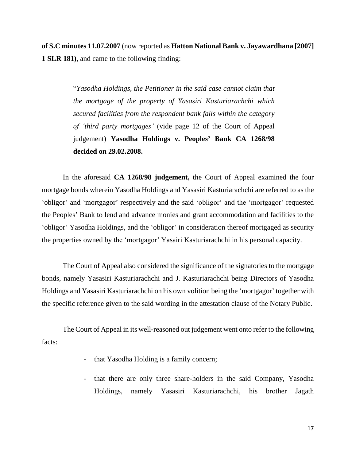**of S.C minutes 11.07.2007** (now reported as **Hatton National Bank v. Jayawardhana [2007] 1 SLR 181)**, and came to the following finding:

> "*Yasodha Holdings, the Petitioner in the said case cannot claim that the mortgage of the property of Yasasiri Kasturiarachchi which secured facilities from the respondent bank falls within the category of 'third party mortgages'* (vide page 12 of the Court of Appeal judgement) **Yasodha Holdings v. Peoples' Bank CA 1268/98 decided on 29.02.2008.**

In the aforesaid **CA 1268/98 judgement,** the Court of Appeal examined the four mortgage bonds wherein Yasodha Holdings and Yasasiri Kasturiarachchi are referred to as the 'obligor' and 'mortgagor' respectively and the said 'obligor' and the 'mortgagor' requested the Peoples' Bank to lend and advance monies and grant accommodation and facilities to the 'obligor' Yasodha Holdings, and the 'obligor' in consideration thereof mortgaged as security the properties owned by the 'mortgagor' Yasairi Kasturiarachchi in his personal capacity.

The Court of Appeal also considered the significance of the signatories to the mortgage bonds, namely Yasasiri Kasturiarachchi and J. Kasturiarachchi being Directors of Yasodha Holdings and Yasasiri Kasturiarachchi on his own volition being the 'mortgagor' together with the specific reference given to the said wording in the attestation clause of the Notary Public.

The Court of Appeal in its well-reasoned out judgement went onto refer to the following facts:

- that Yasodha Holding is a family concern;
- that there are only three share-holders in the said Company, Yasodha Holdings, namely Yasasiri Kasturiarachchi, his brother Jagath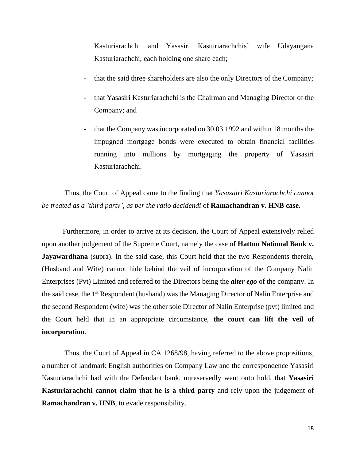Kasturiarachchi and Yasasiri Kasturiarachchis' wife Udayangana Kasturiarachchi, each holding one share each;

- that the said three shareholders are also the only Directors of the Company;
- that Yasasiri Kasturiarachchi is the Chairman and Managing Director of the Company; and
- that the Company was incorporated on 30.03.1992 and within 18 months the impugned mortgage bonds were executed to obtain financial facilities running into millions by mortgaging the property of Yasasiri Kasturiarachchi.

Thus, the Court of Appeal came to the finding that *Yasasairi Kasturiarachchi cannot be treated as a 'third party'*, *as per the ratio decidendi* of **Ramachandran v. HNB case.**

Furthermore, in order to arrive at its decision, the Court of Appeal extensively relied upon another judgement of the Supreme Court, namely the case of **Hatton National Bank v. Jayawardhana** (supra). In the said case, this Court held that the two Respondents therein, (Husband and Wife) cannot hide behind the veil of incorporation of the Company Nalin Enterprises (Pvt) Limited and referred to the Directors being the *alter ego* of the company. In the said case, the 1<sup>st</sup> Respondent (husband) was the Managing Director of Nalin Enterprise and the second Respondent (wife) was the other sole Director of Nalin Enterprise (pvt) limited and the Court held that in an appropriate circumstance, **the court can lift the veil of incorporation**.

Thus, the Court of Appeal in CA 1268/98, having referred to the above propositions, a number of landmark English authorities on Company Law and the correspondence Yasasiri Kasturiarachchi had with the Defendant bank, unreservedly went onto hold, that **Yasasiri Kasturiarachchi cannot claim that he is a third party** and rely upon the judgement of **Ramachandran v. HNB**, to evade responsibility.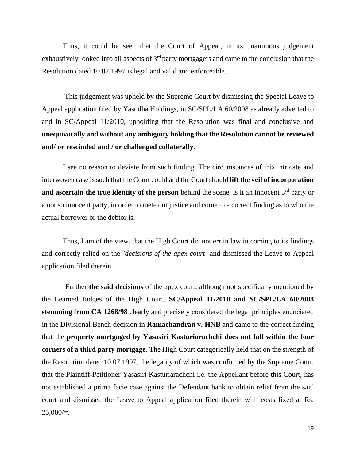Thus, it could be seen that the Court of Appeal, in its unanimous judgement exhaustively looked into all aspects of  $3<sup>rd</sup>$  party mortgagers and came to the conclusion that the Resolution dated 10.07.1997 is legal and valid and enforceable.

This judgement was upheld by the Supreme Court by dismissing the Special Leave to Appeal application filed by Yasodha Holdings, in SC/SPL/LA 60/2008 as already adverted to and in SC/Appeal 11/2010, upholding that the Resolution was final and conclusive and **unequivocally and without any ambiguity holding that the Resolution cannot be reviewed and/ or rescinded and / or challenged collaterally.**

I see no reason to deviate from such finding. The circumstances of this intricate and interwoven case is such that the Court could and the Court should **lift the veil of incorporation and ascertain the true identity of the person** behind the scene, is it an innocent  $3<sup>rd</sup>$  party or a not so innocent party, in order to mete out justice and come to a correct finding as to who the actual borrower or the debtor is.

Thus, I am of the view, that the High Court did not err in law in coming to its findings and correctly relied on the *'decisions of the apex court'* and dismissed the Leave to Appeal application filed therein.

Further **the said decisions** of the apex court, although not specifically mentioned by the Learned Judges of the High Court, **SC/Appeal 11/2010 and SC/SPL/LA 60/2008 stemming from CA 1268/98** clearly and precisely considered the legal principles enunciated in the Divisional Bench decision in **Ramachandran v. HNB** and came to the correct finding that the **property mortgaged by Yasasiri Kasturiarachchi does not fall within the four corners of a third party mortgage**. The High Court categorically held that on the strength of the Resolution dated 10.07.1997, the legality of which was confirmed by the Supreme Court, that the Plaintiff-Petitioner Yasasiri Kasturiarachchi i.e. the Appellant before this Court, has not established a prima facie case against the Defendant bank to obtain relief from the said court and dismissed the Leave to Appeal application filed therein with costs fixed at Rs.  $25,000/=$ .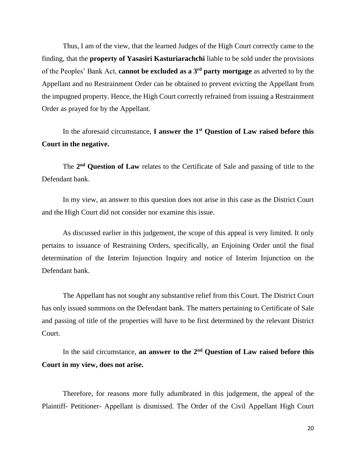Thus, I am of the view, that the learned Judges of the High Court correctly came to the finding, that the **property of Yasasiri Kasturiarachchi** liable to be sold under the provisions of the Peoples' Bank Act, **cannot be excluded as a 3rd party mortgage** as adverted to by the Appellant and no Restrainment Order can be obtained to prevent evicting the Appellant from the impugned property. Hence, the High Court correctly refrained from issuing a Restrainment Order as prayed for by the Appellant.

In the aforesaid circumstance, **I answer the 1st Question of Law raised before this Court in the negative.**

The 2<sup>nd</sup> Question of Law relates to the Certificate of Sale and passing of title to the Defendant bank.

In my view, an answer to this question does not arise in this case as the District Court and the High Court did not consider nor examine this issue.

As discussed earlier in this judgement, the scope of this appeal is very limited. It only pertains to issuance of Restraining Orders, specifically, an Enjoining Order until the final determination of the Interim Injunction Inquiry and notice of Interim Injunction on the Defendant bank.

The Appellant has not sought any substantive relief from this Court. The District Court has only issued summons on the Defendant bank. The matters pertaining to Certificate of Sale and passing of title of the properties will have to be first determined by the relevant District Court.

In the said circumstance, **an answer to the 2nd Question of Law raised before this Court in my view, does not arise.**

Therefore, for reasons more fully adumbrated in this judgement, the appeal of the Plaintiff- Petitioner- Appellant is dismissed. The Order of the Civil Appellant High Court